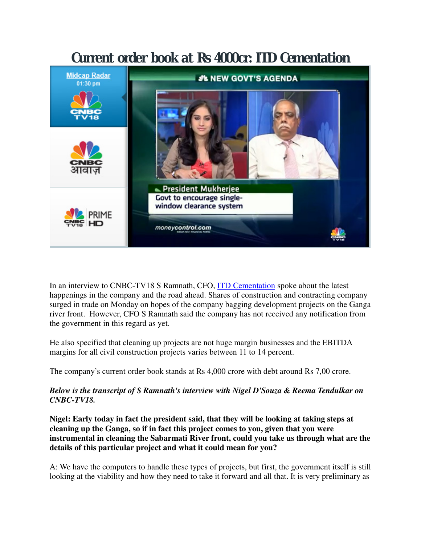# Current order book at Rs 4000cr: ITD Cementation **Midcap Radar J'L NEW GOVT'S AGENDA** 01:30 pm President Mukherjee Govt to encourage single-

window clearance system

moneycontrol.com

prime

In an interview to CNBC-TV18 S Ramnath, CFO, ITD Cementation spoke about the latest happenings in the company and the road ahead. Shares of construction and contracting company surged in trade on Monday on hopes of the company bagging development projects on the Ganga river front. However, CFO S Ramnath said the company has not received any notification from the government in this regard as yet.

He also specified that cleaning up projects are not huge margin businesses and the EBITDA margins for all civil construction projects varies between 11 to 14 percent.

The company's current order book stands at Rs 4,000 crore with debt around Rs 7,00 crore.

## *Below is the transcript of S Ramnath's interview with Nigel D'Souza & Reema Tendulkar on CNBC-TV18.*

**Nigel: Early today in fact the president said, that they will be looking at taking steps at cleaning up the Ganga, so if in fact this project comes to you, given that you were instrumental in cleaning the Sabarmati River front, could you take us through what are the details of this particular project and what it could mean for you?**

A: We have the computers to handle these types of projects, but first, the government itself is still looking at the viability and how they need to take it forward and all that. It is very preliminary as